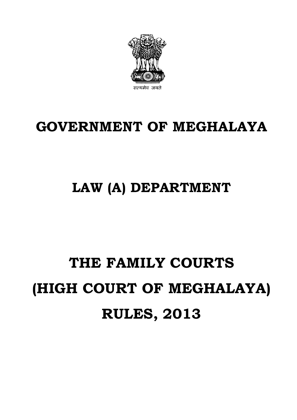# **GOVERNMENT OF MEGHALAYA**

### **LAW (A) DEPARTMENT**

## **THE FAMILY COURTS (HIGH COURT OF MEGHALAYA) RULES, 2013**

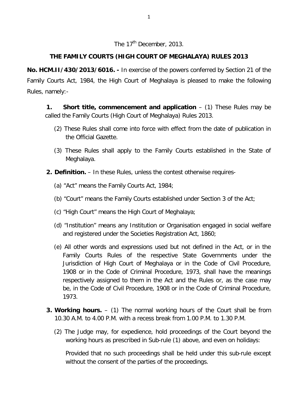### The 17<sup>th</sup> December, 2013.

#### **THE FAMILY COURTS (HIGH COURT OF MEGHALAYA) RULES 2013**

**No. HCM.II/430/2013/6016. -** In exercise of the powers conferred by Section 21 of the Family Courts Act, 1984, the High Court of Meghalaya is pleased to make the following Rules, namely:-

**1. Short title, commencement and application** – (1) These Rules may be called the Family Courts (High Court of Meghalaya) Rules 2013.

- (2) These Rules shall come into force with effect from the date of publication in the Official Gazette.
- (3) These Rules shall apply to the Family Courts established in the State of Meghalaya.
- **2. Definition.**  In these Rules, unless the contest otherwise requires-
	- (a) "Act" means the Family Courts Act, 1984;
	- (b) "Court" means the Family Courts established under Section 3 of the Act;
	- (c) "High Court" means the High Court of Meghalaya;
	- (d) "Institution" means any Institution or Organisation engaged in social welfare and registered under the Societies Registration Act, 1860;
	- (e) All other words and expressions used but not defined in the Act, or in the Family Courts Rules of the respective State Governments under the Jurisdiction of High Court of Meghalaya or in the Code of Civil Procedure, 1908 or in the Code of Criminal Procedure, 1973, shall have the meanings respectively assigned to them in the Act and the Rules or, as the case may be, in the Code of Civil Procedure, 1908 or in the Code of Criminal Procedure, 1973.
- **3. Working hours.**  (1) The normal working hours of the Court shall be from 10.30 A.M. to 4.00 P.M. with a recess break from 1.00 P.M. to 1.30 P.M.
	- (2) The Judge may, for expedience, hold proceedings of the Court beyond the working hours as prescribed in Sub-rule (1) above, and even on holidays:

Provided that no such proceedings shall be held under this sub-rule except without the consent of the parties of the proceedings.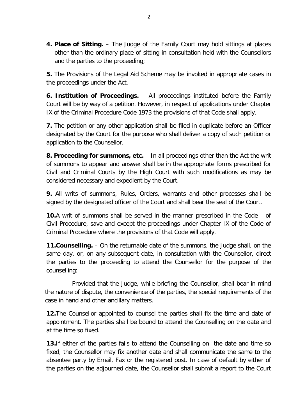**4. Place of Sitting.** – The Judge of the Family Court may hold sittings at places other than the ordinary place of sitting in consultation held with the Counsellors and the parties to the proceeding;

**5.** The Provisions of the Legal Aid Scheme may be invoked in appropriate cases in the proceedings under the Act.

**6. Institution of Proceedings.** – All proceedings instituted before the Family Court will be by way of a petition. However, in respect of applications under Chapter IX of the Criminal Procedure Code 1973 the provisions of that Code shall apply.

**7.** The petition or any other application shall be filed in duplicate before an Officer designated by the Court for the purpose who shall deliver a copy of such petition or application to the Counsellor.

**8. Proceeding for summons, etc.** – In all proceedings other than the Act the writ of summons to appear and answer shall be in the appropriate forms prescribed for Civil and Criminal Courts by the High Court with such modifications as may be considered necessary and expedient by the Court.

**9.** All writs of summons, Rules, Orders, warrants and other processes shall be signed by the designated officer of the Court and shall bear the seal of the Court.

**10.**A writ of summons shall be served in the manner prescribed in the Code of Civil Procedure, save and except the proceedings under Chapter IX of the Code of Criminal Procedure where the provisions of that Code will apply.

**11.Counselling.** – On the returnable date of the summons, the Judge shall, on the same day, or, on any subsequent date, in consultation with the Counsellor, direct the parties to the proceeding to attend the Counsellor for the purpose of the counselling:

Provided that the Judge, while briefing the Counsellor, shall bear in mind the nature of dispute, the convenience of the parties, the special requirements of the case in hand and other ancillary matters.

**12.**The Counsellor appointed to counsel the parties shall fix the time and date of appointment. The parties shall be bound to attend the Counselling on the date and at the time so fixed.

**13.**If either of the parties fails to attend the Counselling on the date and time so fixed, the Counsellor may fix another date and shall communicate the same to the absentee party by Email, Fax or the registered post. In case of default by either of the parties on the adjourned date, the Counsellor shall submit a report to the Court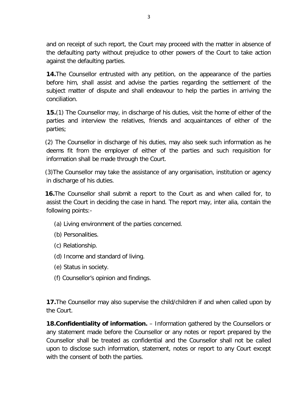and on receipt of such report, the Court may proceed with the matter in absence of the defaulting party without prejudice to other powers of the Court to take action against the defaulting parties.

**14.**The Counsellor entrusted with any petition, on the appearance of the parties before him, shall assist and advise the parties regarding the settlement of the subject matter of dispute and shall endeavour to help the parties in arriving the conciliation.

**15.**(1) The Counsellor may, in discharge of his duties, visit the home of either of the parties and interview the relatives, friends and acquaintances of either of the parties;

(2) The Counsellor in discharge of his duties, may also seek such information as he deems fit from the employer of either of the parties and such requisition for information shall be made through the Court.

(3)The Counsellor may take the assistance of any organisation, institution or agency in discharge of his duties.

**16.**The Counsellor shall submit a report to the Court as and when called for, to assist the Court in deciding the case in hand. The report may, inter alia, contain the following points:-

- (a) Living environment of the parties concerned.
- (b) Personalities.
- (c) Relationship.
- (d) Income and standard of living.
- (e) Status in society.
- (f) Counsellor's opinion and findings.

**17.**The Counsellor may also supervise the child/children if and when called upon by the Court.

**18.Confidentiality of information.** – Information gathered by the Counsellors or any statement made before the Counsellor or any notes or report prepared by the Counsellor shall be treated as confidential and the Counsellor shall not be called upon to disclose such information, statement, notes or report to any Court except with the consent of both the parties.